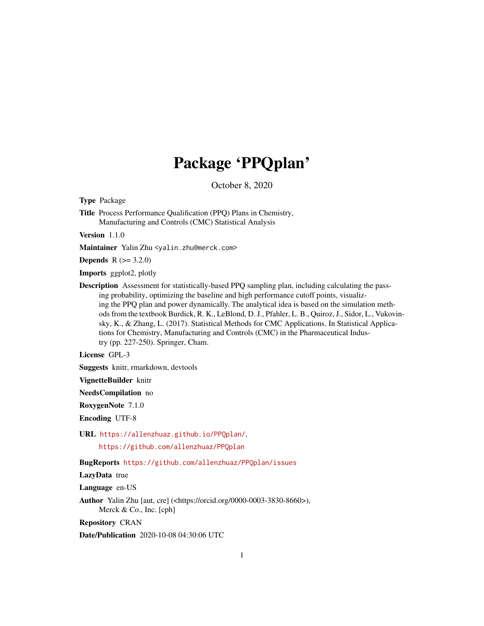# Package 'PPQplan'

October 8, 2020

Type Package

Title Process Performance Qualification (PPQ) Plans in Chemistry, Manufacturing and Controls (CMC) Statistical Analysis

Version 1.1.0

Maintainer Yalin Zhu <yalin.zhu@merck.com>

**Depends**  $R (= 3.2.0)$ 

Imports ggplot2, plotly

Description Assessment for statistically-based PPQ sampling plan, including calculating the passing probability, optimizing the baseline and high performance cutoff points, visualizing the PPQ plan and power dynamically. The analytical idea is based on the simulation methods from the textbook Burdick, R. K., LeBlond, D. J., Pfahler, L. B., Quiroz, J., Sidor, L., Vukovinsky, K., & Zhang, L. (2017). Statistical Methods for CMC Applications. In Statistical Applications for Chemistry, Manufacturing and Controls (CMC) in the Pharmaceutical Industry (pp. 227-250). Springer, Cham.

License GPL-3

Suggests knitr, rmarkdown, devtools

VignetteBuilder knitr

NeedsCompilation no

RoxygenNote 7.1.0

Encoding UTF-8

URL <https://allenzhuaz.github.io/PPQplan/>,

<https://github.com/allenzhuaz/PPQplan>

# BugReports <https://github.com/allenzhuaz/PPQplan/issues>

#### LazyData true

Language en-US

Author Yalin Zhu [aut, cre] (<https://orcid.org/0000-0003-3830-8660>), Merck & Co., Inc. [cph]

Repository CRAN

Date/Publication 2020-10-08 04:30:06 UTC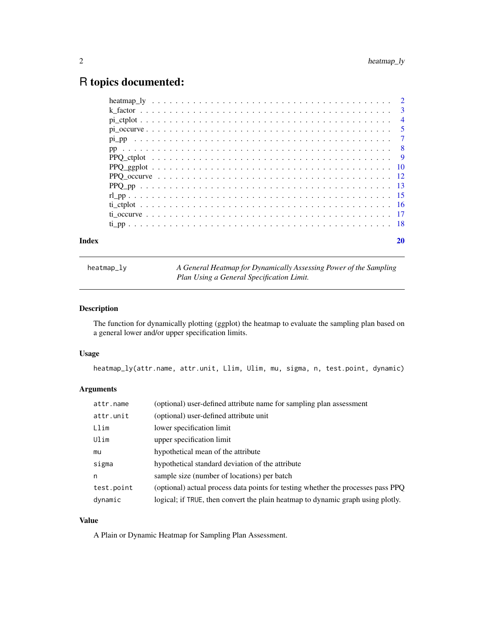# <span id="page-1-0"></span>R topics documented:

| Index |  |
|-------|--|
|       |  |
|       |  |
|       |  |
|       |  |
|       |  |
|       |  |
|       |  |
|       |  |
|       |  |
|       |  |
|       |  |
|       |  |
|       |  |
|       |  |

heatmap\_ly *A General Heatmap for Dynamically Assessing Power of the Sampling Plan Using a General Specification Limit.*

# Description

The function for dynamically plotting (ggplot) the heatmap to evaluate the sampling plan based on a general lower and/or upper specification limits.

# Usage

```
heatmap_ly(attr.name, attr.unit, Llim, Ulim, mu, sigma, n, test.point, dynamic)
```
# Arguments

| attr.name  | (optional) user-defined attribute name for sampling plan assessment              |
|------------|----------------------------------------------------------------------------------|
| attr.unit  | (optional) user-defined attribute unit                                           |
| Llim       | lower specification limit                                                        |
| Ulim       | upper specification limit                                                        |
| mu         | hypothetical mean of the attribute                                               |
| sigma      | hypothetical standard deviation of the attribute                                 |
| n          | sample size (number of locations) per batch                                      |
| test.point | (optional) actual process data points for testing whether the processes pass PPQ |
| dynamic    | logical; if TRUE, then convert the plain heatmap to dynamic graph using plotly.  |

# Value

A Plain or Dynamic Heatmap for Sampling Plan Assessment.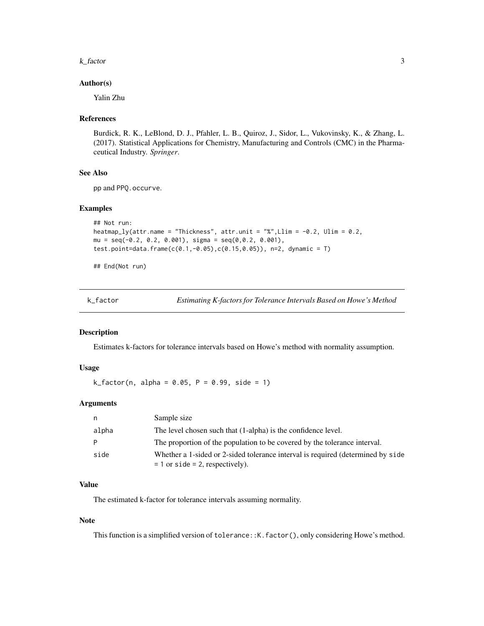#### <span id="page-2-0"></span>k\_factor 3

#### Author(s)

Yalin Zhu

#### References

Burdick, R. K., LeBlond, D. J., Pfahler, L. B., Quiroz, J., Sidor, L., Vukovinsky, K., & Zhang, L. (2017). Statistical Applications for Chemistry, Manufacturing and Controls (CMC) in the Pharmaceutical Industry. *Springer*.

#### See Also

pp and PPQ.occurve.

# Examples

```
## Not run:
heatmap_ly(attr.name = "Thickness", attr.unit = "%", Llim = -0.2, Ulim = 0.2,
mu = seq(-0.2, 0.2, 0.001), sigma = seq(0, 0.2, 0.001),test.point=data.frame(c(0.1,-0.05),c(0.15,0.05)), n=2, dynamic = T)
```
## End(Not run)

| k factor |
|----------|
|----------|

k\_factor *Estimating K-factors for Tolerance Intervals Based on Howe's Method*

#### Description

Estimates k-factors for tolerance intervals based on Howe's method with normality assumption.

# Usage

 $k_f = 1$   $k_f = 0.05$ ,  $P = 0.99$ , side = 1)

# Arguments

| n.    | Sample size                                                                                                             |
|-------|-------------------------------------------------------------------------------------------------------------------------|
| alpha | The level chosen such that (1-alpha) is the confidence level.                                                           |
| -P    | The proportion of the population to be covered by the tolerance interval.                                               |
| side  | Whether a 1-sided or 2-sided tolerance interval is required (determined by side<br>$= 1$ or side $= 2$ , respectively). |

# Value

The estimated k-factor for tolerance intervals assuming normality.

#### Note

This function is a simplified version of tolerance:: K. factor(), only considering Howe's method.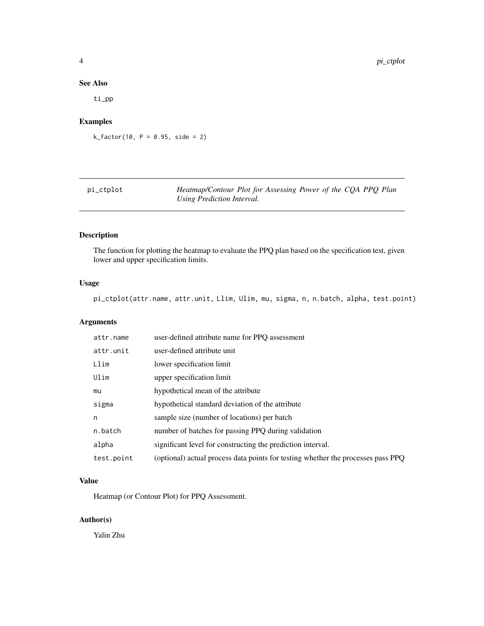# <span id="page-3-0"></span>See Also

ti\_pp

# Examples

 $k_factor(10, P = 0.95, side = 2)$ 

| pi_ctplot | Heatmap/Contour Plot for Assessing Power of the CQA PPQ Plan |
|-----------|--------------------------------------------------------------|
|           | Using Prediction Interval.                                   |

# Description

The function for plotting the heatmap to evaluate the PPQ plan based on the specification test, given lower and upper specification limits.

# Usage

pi\_ctplot(attr.name, attr.unit, Llim, Ulim, mu, sigma, n, n.batch, alpha, test.point)

# Arguments

| attr.name  | user-defined attribute name for PPQ assessment                                   |
|------------|----------------------------------------------------------------------------------|
| attr.unit  | user-defined attribute unit                                                      |
| Llim       | lower specification limit                                                        |
| Ulim       | upper specification limit                                                        |
| mu         | hypothetical mean of the attribute                                               |
| sigma      | hypothetical standard deviation of the attribute                                 |
| n          | sample size (number of locations) per batch                                      |
| n.batch    | number of batches for passing PPQ during validation                              |
| alpha      | significant level for constructing the prediction interval.                      |
| test.point | (optional) actual process data points for testing whether the processes pass PPQ |

# Value

Heatmap (or Contour Plot) for PPQ Assessment.

# Author(s)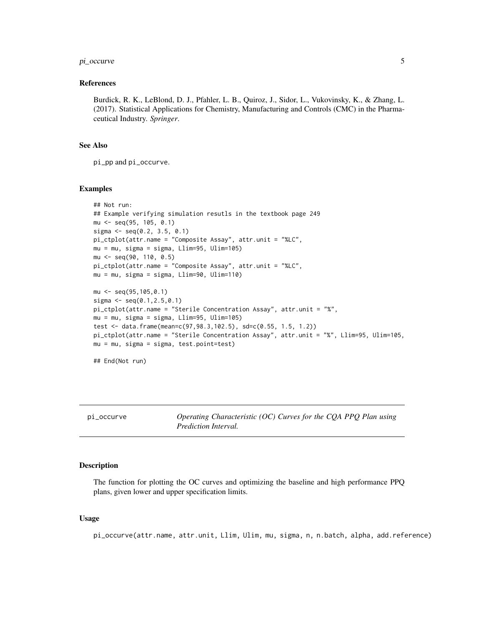# <span id="page-4-0"></span>pi\_occurve 5

#### References

Burdick, R. K., LeBlond, D. J., Pfahler, L. B., Quiroz, J., Sidor, L., Vukovinsky, K., & Zhang, L. (2017). Statistical Applications for Chemistry, Manufacturing and Controls (CMC) in the Pharmaceutical Industry. *Springer*.

#### See Also

pi\_pp and pi\_occurve.

#### Examples

```
## Not run:
## Example verifying simulation resutls in the textbook page 249
mu <- seq(95, 105, 0.1)
sigma \leq seq(0.2, 3.5, 0.1)
pi_ctplot(attr.name = "Composite Assay", attr.unit = "%LC",
mu = mu, sigma = sigma, Llim=95, Ulim=105)
mu <- seq(90, 110, 0.5)
pi_ctplot(attr.name = "Composite Assay", attr.unit = "%LC",
mu = mu, sigma = sigma, Llim=90, Ulim=110)
mu <- seq(95,105,0.1)
sigma \leq seq(0.1,2.5,0.1)
pi_ctplot(attr.name = "Sterile Concentration Assay", attr.unit = "%",
mu = mu, sigma = sigma, Llim=95, Ulim=105)
test <- data.frame(mean=c(97,98.3,102.5), sd=c(0.55, 1.5, 1.2))
pi_ctplot(attr.name = "Sterile Concentration Assay", attr.unit = "%", Llim=95, Ulim=105,
mu = mu, sigma = sigma, test.point=test)
## End(Not run)
```
pi\_occurve *Operating Characteristic (OC) Curves for the CQA PPQ Plan using Prediction Interval.*

#### Description

The function for plotting the OC curves and optimizing the baseline and high performance PPQ plans, given lower and upper specification limits.

#### Usage

pi\_occurve(attr.name, attr.unit, Llim, Ulim, mu, sigma, n, n.batch, alpha, add.reference)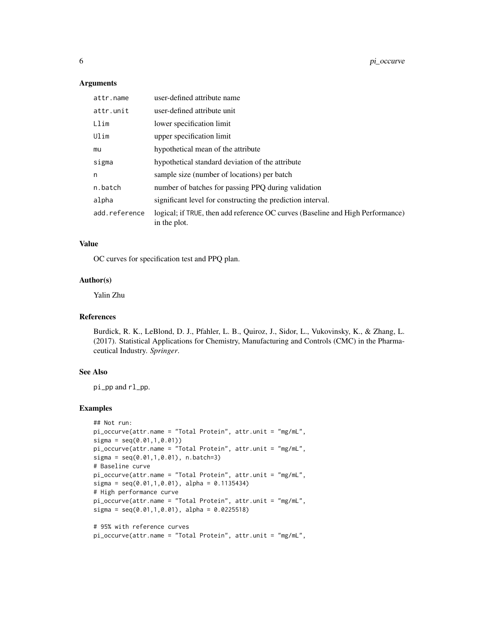#### Arguments

| attr.name     | user-defined attribute name                                                                    |
|---------------|------------------------------------------------------------------------------------------------|
| attr.unit     | user-defined attribute unit                                                                    |
| Llim          | lower specification limit                                                                      |
| Ulim          | upper specification limit                                                                      |
| mu            | hypothetical mean of the attribute                                                             |
| sigma         | hypothetical standard deviation of the attribute                                               |
| n             | sample size (number of locations) per batch                                                    |
| n.batch       | number of batches for passing PPQ during validation                                            |
| alpha         | significant level for constructing the prediction interval.                                    |
| add.reference | logical; if TRUE, then add reference OC curves (Baseline and High Performance)<br>in the plot. |

#### Value

OC curves for specification test and PPQ plan.

#### Author(s)

Yalin Zhu

# References

Burdick, R. K., LeBlond, D. J., Pfahler, L. B., Quiroz, J., Sidor, L., Vukovinsky, K., & Zhang, L. (2017). Statistical Applications for Chemistry, Manufacturing and Controls (CMC) in the Pharmaceutical Industry. *Springer*.

# See Also

pi\_pp and rl\_pp.

# Examples

```
## Not run:
pi_occurve(attr.name = "Total Protein", attr.unit = "mg/mL",
signa = seq(0.01, 1, 0.01))pi_occurve(attr.name = "Total Protein", attr.unit = "mg/mL",
sigma = seq(0.01,1,0.01), n.batch=3)
# Baseline curve
pi_occurve(attr.name = "Total Protein", attr.unit = "mg/mL",
sigma = seq(0.01, 1, 0.01), alpha = 0.1135434)
# High performance curve
pi_occurve(attr.name = "Total Protein", attr.unit = "mg/mL",
signa = seq(0.01, 1, 0.01), alpha = 0.0225518)
# 95% with reference curves
pi_occurve(attr.name = "Total Protein", attr.unit = "mg/mL",
```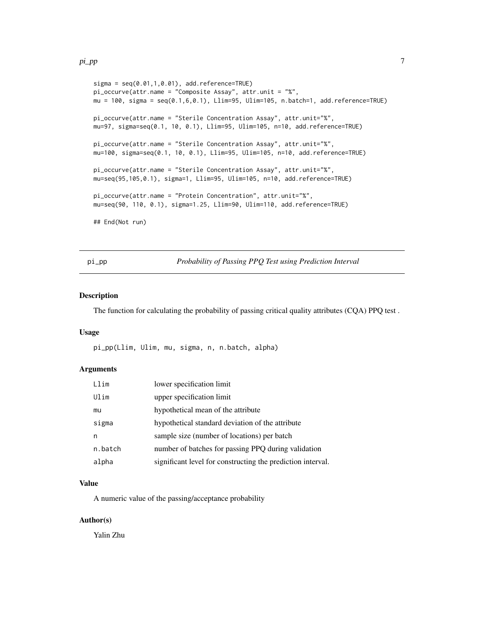#### <span id="page-6-0"></span>pi\_pp 7

```
signa = seq(0.01, 1, 0.01), add. reference = TRUE)
pi_occurve(attr.name = "Composite Assay", attr.unit = "%",
mu = 100, sigma = seq(0.1,6,0.1), Llim=95, Ulim=105, n.batch=1, add.reference=TRUE)
pi_occurve(attr.name = "Sterile Concentration Assay", attr.unit="%",
mu=97, sigma=seq(0.1, 10, 0.1), Llim=95, Ulim=105, n=10, add.reference=TRUE)
pi_occurve(attr.name = "Sterile Concentration Assay", attr.unit="%",
mu=100, sigma=seq(0.1, 10, 0.1), Llim=95, Ulim=105, n=10, add.reference=TRUE)
pi_occurve(attr.name = "Sterile Concentration Assay", attr.unit="%",
mu=seq(95,105,0.1), sigma=1, Llim=95, Ulim=105, n=10, add.reference=TRUE)
pi_occurve(attr.name = "Protein Concentration", attr.unit="%",
mu=seq(90, 110, 0.1), sigma=1.25, Llim=90, Ulim=110, add.reference=TRUE)
## End(Not run)
```
pi\_pp *Probability of Passing PPQ Test using Prediction Interval*

# Description

The function for calculating the probability of passing critical quality attributes (CQA) PPQ test .

#### Usage

pi\_pp(Llim, Ulim, mu, sigma, n, n.batch, alpha)

#### Arguments

| Llim    | lower specification limit                                   |
|---------|-------------------------------------------------------------|
| Ulim    | upper specification limit                                   |
| mu      | hypothetical mean of the attribute                          |
| sigma   | hypothetical standard deviation of the attribute            |
| n       | sample size (number of locations) per batch                 |
| n.batch | number of batches for passing PPQ during validation         |
| alpha   | significant level for constructing the prediction interval. |

#### Value

A numeric value of the passing/acceptance probability

# Author(s)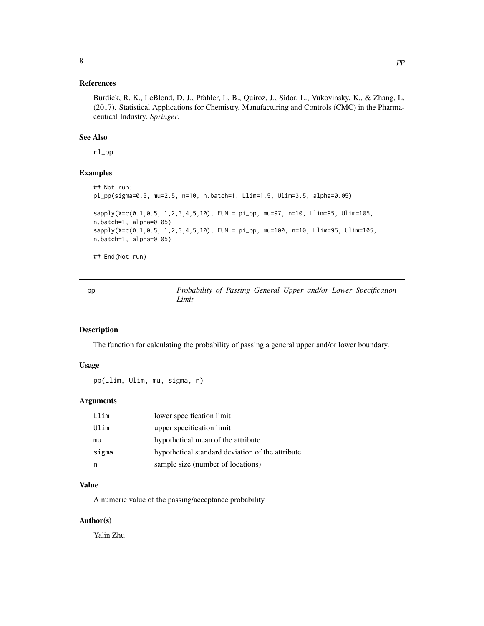# <span id="page-7-0"></span>References

Burdick, R. K., LeBlond, D. J., Pfahler, L. B., Quiroz, J., Sidor, L., Vukovinsky, K., & Zhang, L. (2017). Statistical Applications for Chemistry, Manufacturing and Controls (CMC) in the Pharmaceutical Industry. *Springer*.

#### See Also

rl\_pp.

#### Examples

```
## Not run:
pi_pp(sigma=0.5, mu=2.5, n=10, n.batch=1, Llim=1.5, Ulim=3.5, alpha=0.05)
sapply(X=c(0.1,0.5, 1,2,3,4,5,10), FUN = pi_pp, mu=97, n=10, Llim=95, Ulim=105,
n.batch=1, alpha=0.05)
sapply(X=c(0.1,0.5, 1,2,3,4,5,10), FUN = pi_pp, mu=100, n=10, Llim=95, Ulim=105,
n.batch=1, alpha=0.05)
```
## End(Not run)

| pp | Probability of Passing General Upper and/or Lower Specification |  |  |  |  |
|----|-----------------------------------------------------------------|--|--|--|--|
|    | Limit                                                           |  |  |  |  |

# Description

The function for calculating the probability of passing a general upper and/or lower boundary.

# Usage

pp(Llim, Ulim, mu, sigma, n)

#### Arguments

| Llim  | lower specification limit                        |
|-------|--------------------------------------------------|
| Ulim  | upper specification limit                        |
| mu    | hypothetical mean of the attribute               |
| sigma | hypothetical standard deviation of the attribute |
|       | sample size (number of locations)                |

# Value

A numeric value of the passing/acceptance probability

#### Author(s)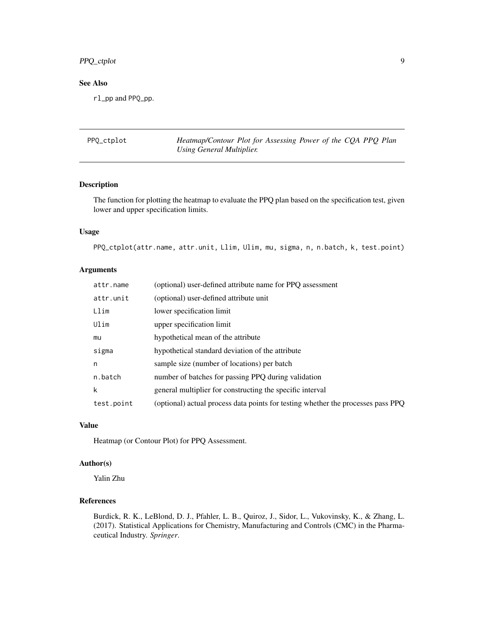# <span id="page-8-0"></span>PPQ\_ctplot 9

# See Also

rl\_pp and PPQ\_pp.

| PPQ_ctplot | Heatmap/Contour Plot for Assessing Power of the CQA PPQ Plan |  |  |  |  |
|------------|--------------------------------------------------------------|--|--|--|--|
|            | Using General Multiplier.                                    |  |  |  |  |

# Description

The function for plotting the heatmap to evaluate the PPQ plan based on the specification test, given lower and upper specification limits.

# Usage

```
PPQ_ctplot(attr.name, attr.unit, Llim, Ulim, mu, sigma, n, n.batch, k, test.point)
```
# Arguments

| attr.name  | (optional) user-defined attribute name for PPQ assessment                        |
|------------|----------------------------------------------------------------------------------|
| attr.unit  | (optional) user-defined attribute unit                                           |
| Llim       | lower specification limit                                                        |
| Ulim       | upper specification limit                                                        |
| mu         | hypothetical mean of the attribute                                               |
| sigma      | hypothetical standard deviation of the attribute                                 |
| n          | sample size (number of locations) per batch                                      |
| n.batch    | number of batches for passing PPQ during validation                              |
| k          | general multiplier for constructing the specific interval                        |
| test.point | (optional) actual process data points for testing whether the processes pass PPQ |

# Value

Heatmap (or Contour Plot) for PPQ Assessment.

# Author(s)

Yalin Zhu

# References

Burdick, R. K., LeBlond, D. J., Pfahler, L. B., Quiroz, J., Sidor, L., Vukovinsky, K., & Zhang, L. (2017). Statistical Applications for Chemistry, Manufacturing and Controls (CMC) in the Pharmaceutical Industry. *Springer*.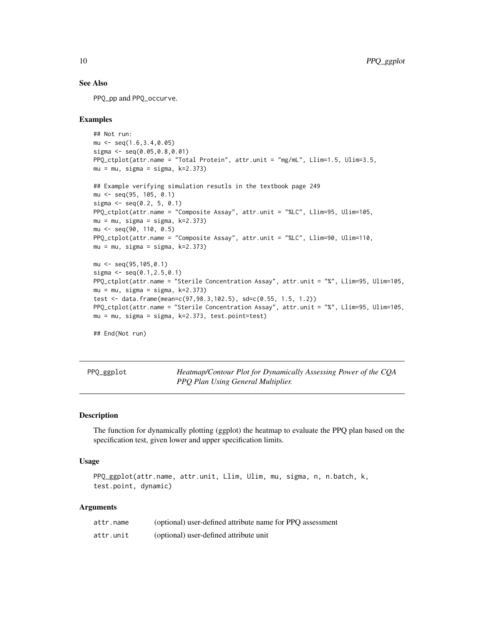#### See Also

PPQ\_pp and PPQ\_occurve.

#### Examples

```
## Not run:
mu <- seq(1.6,3.4,0.05)
sigma <- seq(0.05,0.8,0.01)
PPQ_ctplot(attr.name = "Total Protein", attr.unit = "mg/mL", Llim=1.5, Ulim=3.5,
mu = mu, sigma = sigma, k=2.373## Example verifying simulation resutls in the textbook page 249
mu <- seq(95, 105, 0.1)
sigma \leq seq(0.2, 5, 0.1)
PPQ_ctplot(attr.name = "Composite Assay", attr.unit = "%LC", Llim=95, Ulim=105,
mu = mu, sigma = sigma, k=2.373)
mu <- seq(90, 110, 0.5)
PPQ_ctplot(attr.name = "Composite Assay", attr.unit = "%LC", Llim=90, Ulim=110,
mu = mu, sigma = sigma, k=2.373)
mu <- seq(95,105,0.1)
sigma \leq seq(0.1,2.5,0.1)
PPQ_ctplot(attr.name = "Sterile Concentration Assay", attr.unit = "%", Llim=95, Ulim=105,
mu = mu, sigma = sigma, k=2.373)
test <- data.frame(mean=c(97,98.3,102.5), sd=c(0.55, 1.5, 1.2))
PPQ_ctplot(attr.name = "Sterile Concentration Assay", attr.unit = "%", Llim=95, Ulim=105,
mu = mu, sigma = sigma, k=2.373, test.point=test)
## End(Not run)
```
PPQ\_ggplot *Heatmap/Contour Plot for Dynamically Assessing Power of the CQA PPQ Plan Using General Multiplier.*

#### Description

The function for dynamically plotting (ggplot) the heatmap to evaluate the PPQ plan based on the specification test, given lower and upper specification limits.

#### Usage

```
PPQ_ggplot(attr.name, attr.unit, Llim, Ulim, mu, sigma, n, n.batch, k,
test.point, dynamic)
```
#### Arguments

| attr.name | (optional) user-defined attribute name for PPO assessment |
|-----------|-----------------------------------------------------------|
| attr.unit | (optional) user-defined attribute unit                    |

<span id="page-9-0"></span>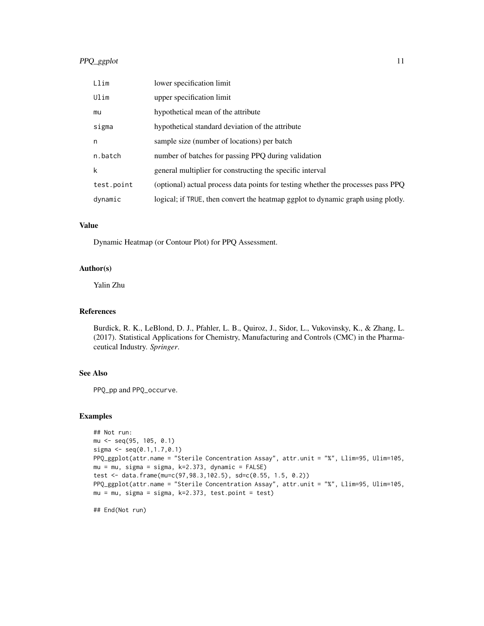# PPQ\_ggplot 11

| Llim       | lower specification limit                                                        |
|------------|----------------------------------------------------------------------------------|
| Ulim       | upper specification limit                                                        |
| mu         | hypothetical mean of the attribute                                               |
| sigma      | hypothetical standard deviation of the attribute                                 |
| n          | sample size (number of locations) per batch                                      |
| n.batch    | number of batches for passing PPQ during validation                              |
| k          | general multiplier for constructing the specific interval                        |
| test.point | (optional) actual process data points for testing whether the processes pass PPQ |
| dynamic    | logical; if TRUE, then convert the heatmap ggplot to dynamic graph using plotly. |

# Value

Dynamic Heatmap (or Contour Plot) for PPQ Assessment.

#### Author(s)

Yalin Zhu

# References

Burdick, R. K., LeBlond, D. J., Pfahler, L. B., Quiroz, J., Sidor, L., Vukovinsky, K., & Zhang, L. (2017). Statistical Applications for Chemistry, Manufacturing and Controls (CMC) in the Pharmaceutical Industry. *Springer*.

# See Also

PPQ\_pp and PPQ\_occurve.

# Examples

```
## Not run:
mu <- seq(95, 105, 0.1)
sigma <- seq(0.1,1.7,0.1)
PPQ_ggplot(attr.name = "Sterile Concentration Assay", attr.unit = "%", Llim=95, Ulim=105,
mu = mu, sigma = sigma, k=2.373, dynamic = FALSE)
test <- data.frame(mu=c(97,98.3,102.5), sd=c(0.55, 1.5, 0.2))
PPQ_ggplot(attr.name = "Sterile Concentration Assay", attr.unit = "%", Llim=95, Ulim=105,
mu = mu, sigma = sigma, k=2.373, test.point = test)
```
## End(Not run)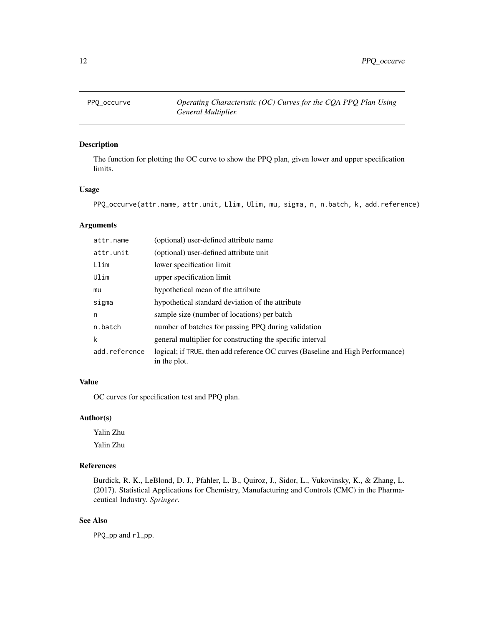<span id="page-11-0"></span>

# Description

The function for plotting the OC curve to show the PPQ plan, given lower and upper specification limits.

#### Usage

PPQ\_occurve(attr.name, attr.unit, Llim, Ulim, mu, sigma, n, n.batch, k, add.reference)

#### Arguments

| attr.name     | (optional) user-defined attribute name                                                         |
|---------------|------------------------------------------------------------------------------------------------|
| attr.unit     | (optional) user-defined attribute unit                                                         |
| Llim          | lower specification limit                                                                      |
| Ulim          | upper specification limit                                                                      |
| mu            | hypothetical mean of the attribute                                                             |
| sigma         | hypothetical standard deviation of the attribute                                               |
| n             | sample size (number of locations) per batch                                                    |
| n.batch       | number of batches for passing PPQ during validation                                            |
| k             | general multiplier for constructing the specific interval                                      |
| add.reference | logical; if TRUE, then add reference OC curves (Baseline and High Performance)<br>in the plot. |

# Value

OC curves for specification test and PPQ plan.

# Author(s)

Yalin Zhu Yalin Zhu

# References

Burdick, R. K., LeBlond, D. J., Pfahler, L. B., Quiroz, J., Sidor, L., Vukovinsky, K., & Zhang, L. (2017). Statistical Applications for Chemistry, Manufacturing and Controls (CMC) in the Pharmaceutical Industry. *Springer*.

# See Also

PPQ\_pp and rl\_pp.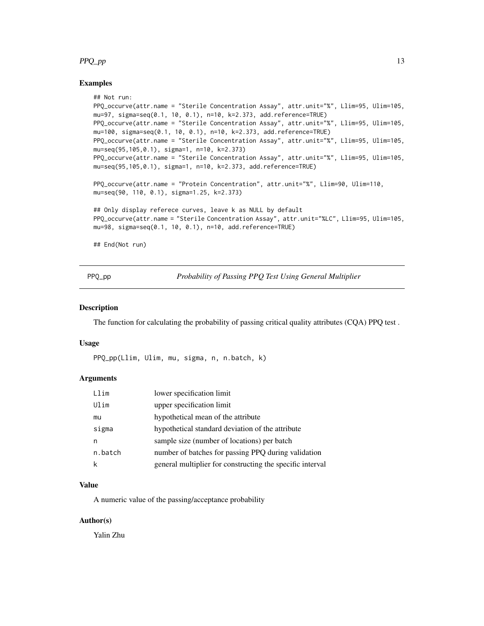#### <span id="page-12-0"></span> $PPQ$ \_pp  $\qquad \qquad$  13

#### Examples

```
## Not run:
PPQ_occurve(attr.name = "Sterile Concentration Assay", attr.unit="%", Llim=95, Ulim=105,
mu=97, sigma=seq(0.1, 10, 0.1), n=10, k=2.373, add.reference=TRUE)
PPQ_occurve(attr.name = "Sterile Concentration Assay", attr.unit="%", Llim=95, Ulim=105,
mu=100, sigma=seq(0.1, 10, 0.1), n=10, k=2.373, add.reference=TRUE)
PPQ_occurve(attr.name = "Sterile Concentration Assay", attr.unit="%", Llim=95, Ulim=105,
mu=seq(95,105,0.1), sigma=1, n=10, k=2.373)
PPQ_occurve(attr.name = "Sterile Concentration Assay", attr.unit="%", Llim=95, Ulim=105,
mu=seq(95,105,0.1), sigma=1, n=10, k=2.373, add.reference=TRUE)
PPQ_occurve(attr.name = "Protein Concentration", attr.unit="%", Llim=90, Ulim=110,
mu=seq(90, 110, 0.1), sigma=1.25, k=2.373)
## Only display referece curves, leave k as NULL by default
PPQ_occurve(attr.name = "Sterile Concentration Assay", attr.unit="%LC", Llim=95, Ulim=105,
mu=98, sigma=seq(0.1, 10, 0.1), n=10, add.reference=TRUE)
```
## End(Not run)

PPQ\_pp *Probability of Passing PPQ Test Using General Multiplier*

#### Description

The function for calculating the probability of passing critical quality attributes (CQA) PPQ test .

# Usage

PPQ\_pp(Llim, Ulim, mu, sigma, n, n.batch, k)

#### Arguments

| Llim    | lower specification limit                                 |
|---------|-----------------------------------------------------------|
| Ulim    | upper specification limit                                 |
| mu      | hypothetical mean of the attribute                        |
| sigma   | hypothetical standard deviation of the attribute          |
| n       | sample size (number of locations) per batch               |
| n.batch | number of batches for passing PPQ during validation       |
|         | general multiplier for constructing the specific interval |

# Value

A numeric value of the passing/acceptance probability

# Author(s)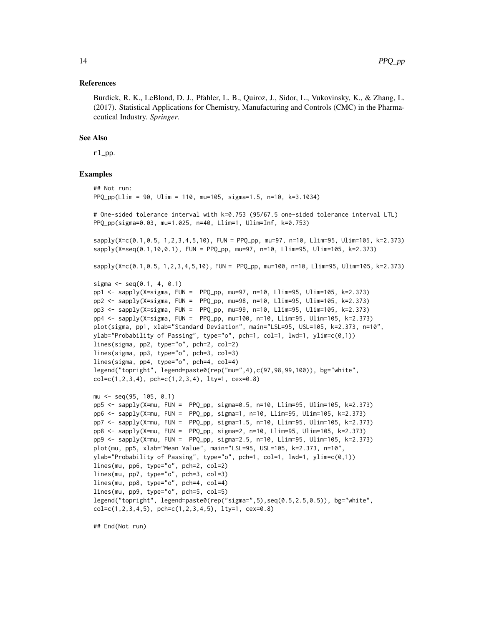#### References

Burdick, R. K., LeBlond, D. J., Pfahler, L. B., Quiroz, J., Sidor, L., Vukovinsky, K., & Zhang, L. (2017). Statistical Applications for Chemistry, Manufacturing and Controls (CMC) in the Pharmaceutical Industry. *Springer*.

#### See Also

rl\_pp.

#### Examples

```
## Not run:
PPQ_pp(Llim = 90, Ulim = 110, mu=105, sigma=1.5, n=10, k=3.1034)
# One-sided tolerance interval with k=0.753 (95/67.5 one-sided tolerance interval LTL)
PPQ_pp(sigma=0.03, mu=1.025, n=40, Llim=1, Ulim=Inf, k=0.753)
sapply(X=c(0.1, 0.5, 1, 2, 3, 4, 5, 10), FUN = PPO_pp, mu=97, n=10, Llim=95, Ulim=105, k=2.373)
sapply(X=seq(0.1,10,0.1), FUN = PPQ_pp, mu=97, n=10, Llim=95, Ulim=105, k=2.373)
sapply(X=c(0.1, 0.5, 1, 2, 3, 4, 5, 10), FUN = PPQpp, mu=100, n=10, Llim=95, Ulim=105, k=2.373)
sigma \leq seq(0.1, 4, 0.1)
pp1 <- sapply(X=sigma, FUN = PPQ_pp, mu=97, n=10, Llim=95, Ulim=105, k=2.373)
pp2 <- sapply(X=sigma, FUN = PPQ_pp, mu=98, n=10, Llim=95, Ulim=105, k=2.373)
pp3 <- sapply(X=sigma, FUN = PPQ_pp, mu=99, n=10, Llim=95, Ulim=105, k=2.373)
pp4 <- sapply(X=sigma, FUN = PPQ_pp, mu=100, n=10, Llim=95, Ulim=105, k=2.373)
plot(sigma, pp1, xlab="Standard Deviation", main="LSL=95, USL=105, k=2.373, n=10",
ylab="Probability of Passing", type="o", pch=1, col=1, lwd=1, ylim=c(0,1))
lines(sigma, pp2, type="o", pch=2, col=2)
lines(sigma, pp3, type="o", pch=3, col=3)
lines(sigma, pp4, type="o", pch=4, col=4)
legend("topright", legend=paste0(rep("mu=",4),c(97,98,99,100)), bg="white",
col=c(1,2,3,4), pch=c(1,2,3,4), lty=1, cex=0.8)mu <- seq(95, 105, 0.1)
pp5 <- sapply(X=mu, FUN = PPQ_pp, sigma=0.5, n=10, Llim=95, Ulim=105, k=2.373)
pp6 <- sapply(X=mu, FUN = PPQ_pp, sigma=1, n=10, Llim=95, Ulim=105, k=2.373)
pp7 <- sapply(X=mu, FUN = PPQ_pp, sigma=1.5, n=10, Llim=95, Ulim=105, k=2.373)
pp8 <- sapply(X=mu, FUN = PPQ_pp, sigma=2, n=10, Llim=95, Ulim=105, k=2.373)
pp9 <- sapply(X=mu, FUN = PPQ_pp, sigma=2.5, n=10, Llim=95, Ulim=105, k=2.373)
plot(mu, pp5, xlab="Mean Value", main="LSL=95, USL=105, k=2.373, n=10",
ylab="Probability of Passing", type="o", pch=1, col=1, lwd=1, ylim=c(0,1))
lines(mu, pp6, type="o", pch=2, col=2)
lines(mu, pp7, type="o", pch=3, col=3)
lines(mu, pp8, type="o", pch=4, col=4)
lines(mu, pp9, type="o", pch=5, col=5)
legend("topright", legend=paste0(rep("sigma=",5),seq(0.5,2.5,0.5)), bg="white",
col=c(1,2,3,4,5), pchec(1,2,3,4,5), lty=1, cex=0.8)
```
## End(Not run)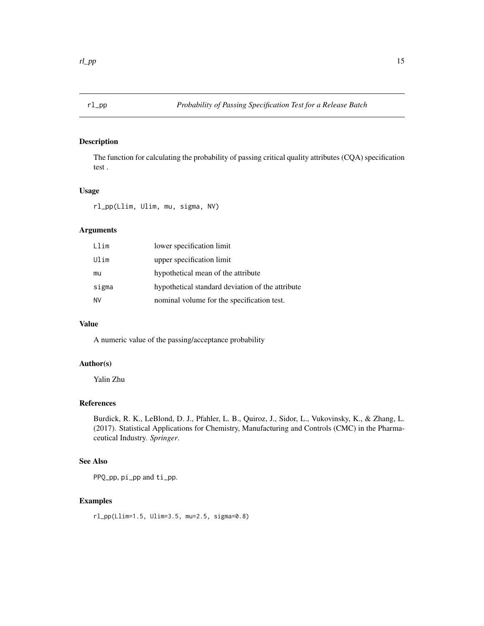<span id="page-14-0"></span>

# Description

The function for calculating the probability of passing critical quality attributes (CQA) specification test .

# Usage

```
rl_pp(Llim, Ulim, mu, sigma, NV)
```
# Arguments

| Llim      | lower specification limit                        |
|-----------|--------------------------------------------------|
| Ulim      | upper specification limit                        |
| mu        | hypothetical mean of the attribute               |
| sigma     | hypothetical standard deviation of the attribute |
| <b>NV</b> | nominal volume for the specification test.       |

# Value

A numeric value of the passing/acceptance probability

# Author(s)

Yalin Zhu

# References

Burdick, R. K., LeBlond, D. J., Pfahler, L. B., Quiroz, J., Sidor, L., Vukovinsky, K., & Zhang, L. (2017). Statistical Applications for Chemistry, Manufacturing and Controls (CMC) in the Pharmaceutical Industry. *Springer*.

# See Also

PPQ\_pp, pi\_pp and ti\_pp.

# Examples

rl\_pp(Llim=1.5, Ulim=3.5, mu=2.5, sigma=0.8)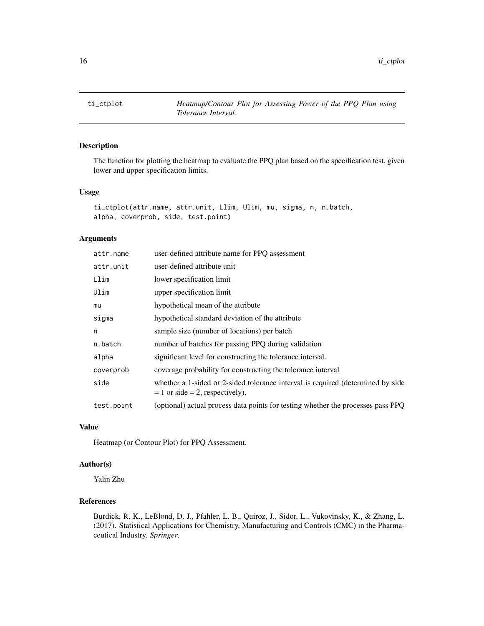<span id="page-15-0"></span>

# Description

The function for plotting the heatmap to evaluate the PPQ plan based on the specification test, given lower and upper specification limits.

## Usage

```
ti_ctplot(attr.name, attr.unit, Llim, Ulim, mu, sigma, n, n.batch,
alpha, coverprob, side, test.point)
```
# Arguments

| attr.name  | user-defined attribute name for PPQ assessment                                                                          |
|------------|-------------------------------------------------------------------------------------------------------------------------|
| attr.unit  | user-defined attribute unit                                                                                             |
| Llim       | lower specification limit                                                                                               |
| Ulim       | upper specification limit                                                                                               |
| mu         | hypothetical mean of the attribute                                                                                      |
| sigma      | hypothetical standard deviation of the attribute                                                                        |
| n          | sample size (number of locations) per batch                                                                             |
| n.batch    | number of batches for passing PPQ during validation                                                                     |
| alpha      | significant level for constructing the tolerance interval.                                                              |
| coverprob  | coverage probability for constructing the tolerance interval                                                            |
| side       | whether a 1-sided or 2-sided tolerance interval is required (determined by side<br>$= 1$ or side $= 2$ , respectively). |
| test.point | (optional) actual process data points for testing whether the processes pass PPQ                                        |

# Value

Heatmap (or Contour Plot) for PPQ Assessment.

# Author(s)

Yalin Zhu

# References

Burdick, R. K., LeBlond, D. J., Pfahler, L. B., Quiroz, J., Sidor, L., Vukovinsky, K., & Zhang, L. (2017). Statistical Applications for Chemistry, Manufacturing and Controls (CMC) in the Pharmaceutical Industry. *Springer*.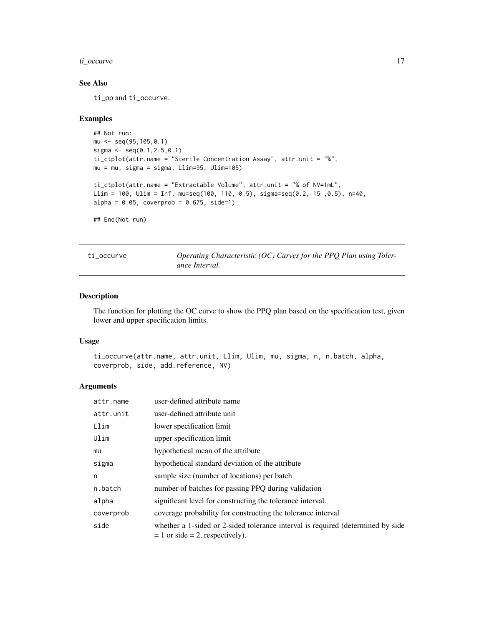# <span id="page-16-0"></span>ti\_occurve 17

# See Also

ti\_pp and ti\_occurve.

#### Examples

```
## Not run:
mu \leftarrow seq(95, 105, 0.1)sigma \leq seq(0.1,2.5,0.1)
ti_ctplot(attr.name = "Sterile Concentration Assay", attr.unit = "%",
mu = mu, sigma = sigma, Llim=95, Ulim=105)
ti_ctplot(attr.name = "Extractable Volume", attr.unit = "% of NV=1mL",
Llim = 100, Ulim = Inf, mu=seq(100, 110, 0.5), sigma=seq(0.2, 15 ,0.5), n=40,
alpha = 0.05, coverprob = 0.675, side=1)
## End(Not run)
```
ti\_occurve *Operating Characteristic (OC) Curves for the PPQ Plan using Tolerance Interval.*

# Description

The function for plotting the OC curve to show the PPQ plan based on the specification test, given lower and upper specification limits.

# Usage

```
ti_occurve(attr.name, attr.unit, Llim, Ulim, mu, sigma, n, n.batch, alpha,
coverprob, side, add.reference, NV)
```
# Arguments

| attr.name | user-defined attribute name                                                                                             |
|-----------|-------------------------------------------------------------------------------------------------------------------------|
| attr.unit | user-defined attribute unit                                                                                             |
| Llim      | lower specification limit                                                                                               |
| Ulim      | upper specification limit                                                                                               |
| mu        | hypothetical mean of the attribute                                                                                      |
| sigma     | hypothetical standard deviation of the attribute                                                                        |
| n         | sample size (number of locations) per batch                                                                             |
| n.batch   | number of batches for passing PPQ during validation                                                                     |
| alpha     | significant level for constructing the tolerance interval.                                                              |
| coverprob | coverage probability for constructing the tolerance interval                                                            |
| side      | whether a 1-sided or 2-sided tolerance interval is required (determined by side<br>$= 1$ or side $= 2$ , respectively). |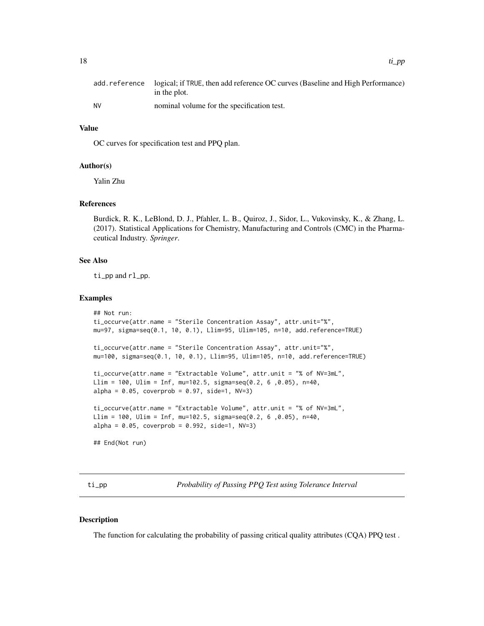<span id="page-17-0"></span>

|    | add, reference logical; if TRUE, then add reference OC curves (Baseline and High Performance)<br>in the plot. |
|----|---------------------------------------------------------------------------------------------------------------|
| NV | nominal volume for the specification test.                                                                    |

#### Value

OC curves for specification test and PPQ plan.

#### Author(s)

Yalin Zhu

#### References

Burdick, R. K., LeBlond, D. J., Pfahler, L. B., Quiroz, J., Sidor, L., Vukovinsky, K., & Zhang, L. (2017). Statistical Applications for Chemistry, Manufacturing and Controls (CMC) in the Pharmaceutical Industry. *Springer*.

#### See Also

ti\_pp and rl\_pp.

#### Examples

```
## Not run:
ti_occurve(attr.name = "Sterile Concentration Assay", attr.unit="%",
mu=97, sigma=seq(0.1, 10, 0.1), Llim=95, Ulim=105, n=10, add.reference=TRUE)
ti_occurve(attr.name = "Sterile Concentration Assay", attr.unit="%",
mu=100, sigma=seq(0.1, 10, 0.1), Llim=95, Ulim=105, n=10, add.reference=TRUE)
ti_occurve(attr.name = "Extractable Volume", attr.unit = "% of NV=3mL",
Llim = 100, Ulim = Inf, mu=102.5, sigma=seq(0.2, 6 ,0.05), n=40,
alpha = 0.05, coverprob = 0.97, side=1, NV=3)
ti_occurve(attr.name = "Extractable Volume", attr.unit = "% of NV=3mL",
Llim = 100, Ulim = Inf, mu=102.5, sigma=seq(0.2, 6,0.05), n=40,
alpha = 0.05, coverprob = 0.992, side=1, NV=3)
## End(Not run)
```
ti\_pp *Probability of Passing PPQ Test using Tolerance Interval*

#### Description

The function for calculating the probability of passing critical quality attributes (CQA) PPQ test .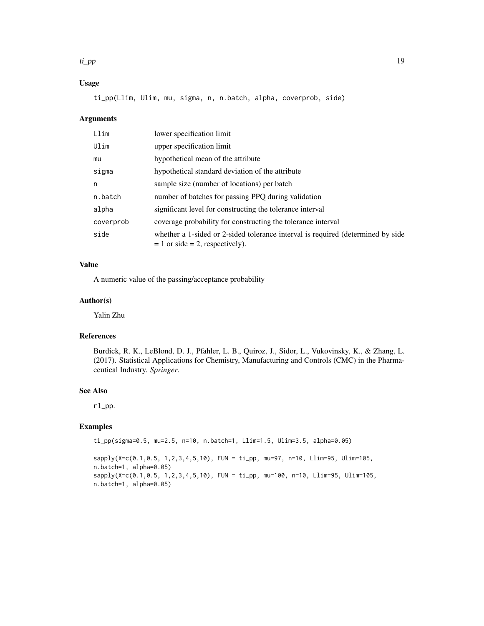#### ti\_pp 19

# Usage

ti\_pp(Llim, Ulim, mu, sigma, n, n.batch, alpha, coverprob, side)

#### Arguments

| Llim      | lower specification limit                                                                                               |
|-----------|-------------------------------------------------------------------------------------------------------------------------|
| Ulim      | upper specification limit                                                                                               |
| mu        | hypothetical mean of the attribute                                                                                      |
| sigma     | hypothetical standard deviation of the attribute                                                                        |
| n         | sample size (number of locations) per batch                                                                             |
| n.batch   | number of batches for passing PPQ during validation                                                                     |
| alpha     | significant level for constructing the tolerance interval                                                               |
| coverprob | coverage probability for constructing the tolerance interval                                                            |
| side      | whether a 1-sided or 2-sided tolerance interval is required (determined by side<br>$= 1$ or side $= 2$ , respectively). |

# Value

A numeric value of the passing/acceptance probability

# Author(s)

Yalin Zhu

# References

Burdick, R. K., LeBlond, D. J., Pfahler, L. B., Quiroz, J., Sidor, L., Vukovinsky, K., & Zhang, L. (2017). Statistical Applications for Chemistry, Manufacturing and Controls (CMC) in the Pharmaceutical Industry. *Springer*.

# See Also

rl\_pp.

# Examples

ti\_pp(sigma=0.5, mu=2.5, n=10, n.batch=1, Llim=1.5, Ulim=3.5, alpha=0.05)

sapply(X=c(0.1,0.5, 1,2,3,4,5,10), FUN = ti\_pp, mu=97, n=10, Llim=95, Ulim=105, n.batch=1, alpha=0.05) sapply(X=c(0.1,0.5, 1,2,3,4,5,10), FUN = ti\_pp, mu=100, n=10, Llim=95, Ulim=105, n.batch=1, alpha=0.05)